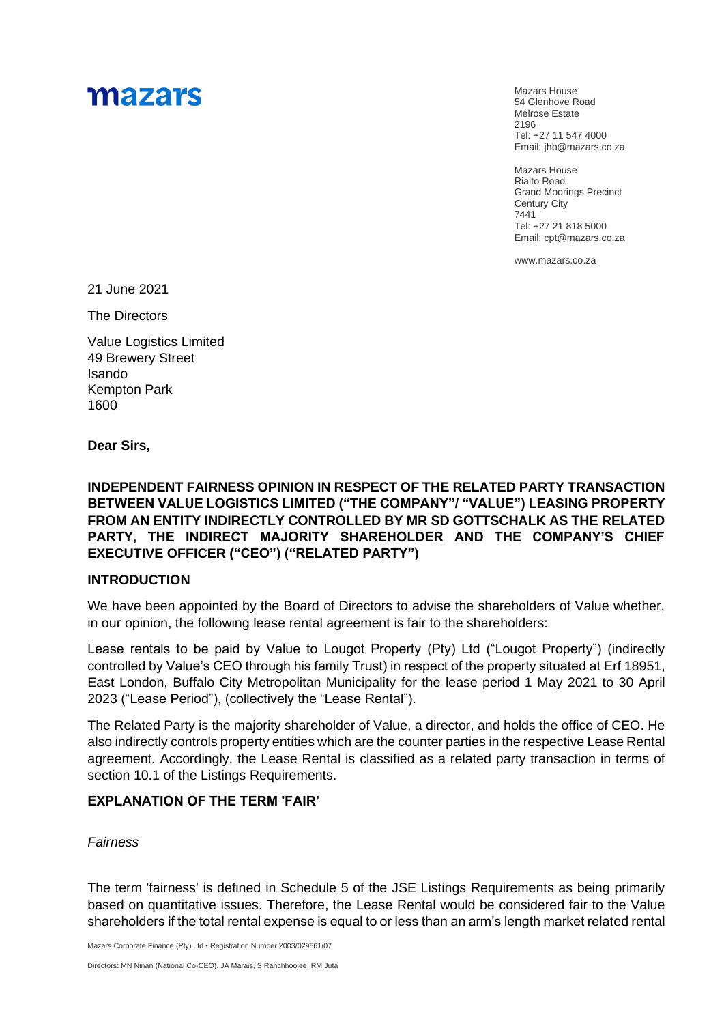# mazars

Mazars House 54 Glenhove Road Melrose Estate 2196 Tel: +27 11 547 4000 Email: jhb@mazars.co.za

Mazars House Rialto Road Grand Moorings Precinct Century City 7441 Tel: +27 21 818 5000 Email: cpt@mazars.co.za

[www.mazars.co.za](http://www.mazars.com/)

21 June 2021

The Directors

Value Logistics Limited 49 Brewery Street Isando Kempton Park 1600

**Dear Sirs,**

**INDEPENDENT FAIRNESS OPINION IN RESPECT OF THE RELATED PARTY TRANSACTION BETWEEN VALUE LOGISTICS LIMITED ("THE COMPANY"/ "VALUE") LEASING PROPERTY FROM AN ENTITY INDIRECTLY CONTROLLED BY MR SD GOTTSCHALK AS THE RELATED PARTY, THE INDIRECT MAJORITY SHAREHOLDER AND THE COMPANY'S CHIEF EXECUTIVE OFFICER ("CEO") ("RELATED PARTY")** 

### **INTRODUCTION**

We have been appointed by the Board of Directors to advise the shareholders of Value whether, in our opinion, the following lease rental agreement is fair to the shareholders:

Lease rentals to be paid by Value to Lougot Property (Pty) Ltd ("Lougot Property") (indirectly controlled by Value's CEO through his family Trust) in respect of the property situated at Erf 18951, East London, Buffalo City Metropolitan Municipality for the lease period 1 May 2021 to 30 April 2023 ("Lease Period"), (collectively the "Lease Rental").

The Related Party is the majority shareholder of Value, a director, and holds the office of CEO. He also indirectly controls property entities which are the counter parties in the respective Lease Rental agreement. Accordingly, the Lease Rental is classified as a related party transaction in terms of section 10.1 of the Listings Requirements.

#### **EXPLANATION OF THE TERM 'FAIR'**

#### *Fairness*

The term 'fairness' is defined in Schedule 5 of the JSE Listings Requirements as being primarily based on quantitative issues. Therefore, the Lease Rental would be considered fair to the Value shareholders if the total rental expense is equal to or less than an arm's length market related rental

Mazars Corporate Finance (Pty) Ltd • Registration Number 2003/029561/07

Directors: MN Ninan (National Co-CEO), JA Marais, S Ranchhoojee, RM Juta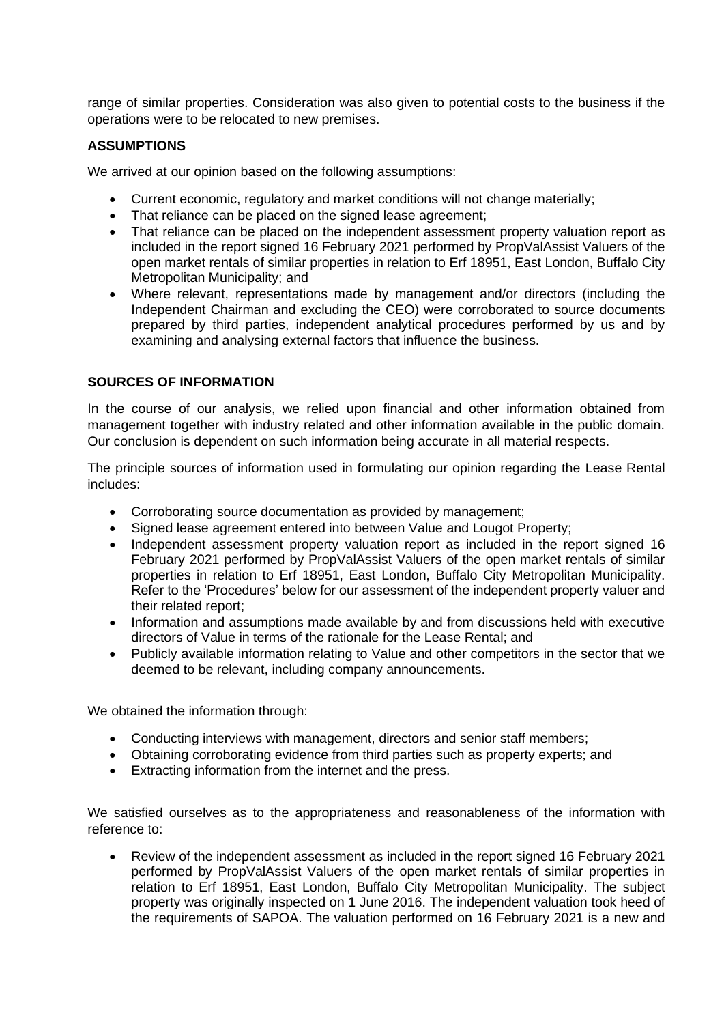range of similar properties. Consideration was also given to potential costs to the business if the operations were to be relocated to new premises.

### **ASSUMPTIONS**

We arrived at our opinion based on the following assumptions:

- Current economic, regulatory and market conditions will not change materially;
- That reliance can be placed on the signed lease agreement:
- That reliance can be placed on the independent assessment property valuation report as included in the report signed 16 February 2021 performed by PropValAssist Valuers of the open market rentals of similar properties in relation to Erf 18951, East London, Buffalo City Metropolitan Municipality; and
- Where relevant, representations made by management and/or directors (including the Independent Chairman and excluding the CEO) were corroborated to source documents prepared by third parties, independent analytical procedures performed by us and by examining and analysing external factors that influence the business.

#### **SOURCES OF INFORMATION**

In the course of our analysis, we relied upon financial and other information obtained from management together with industry related and other information available in the public domain. Our conclusion is dependent on such information being accurate in all material respects.

The principle sources of information used in formulating our opinion regarding the Lease Rental includes:

- Corroborating source documentation as provided by management;
- Signed lease agreement entered into between Value and Lougot Property;
- Independent assessment property valuation report as included in the report signed 16 February 2021 performed by PropValAssist Valuers of the open market rentals of similar properties in relation to Erf 18951, East London, Buffalo City Metropolitan Municipality. Refer to the 'Procedures' below for our assessment of the independent property valuer and their related report;
- Information and assumptions made available by and from discussions held with executive directors of Value in terms of the rationale for the Lease Rental; and
- Publicly available information relating to Value and other competitors in the sector that we deemed to be relevant, including company announcements.

We obtained the information through:

- Conducting interviews with management, directors and senior staff members;
- Obtaining corroborating evidence from third parties such as property experts; and
- Extracting information from the internet and the press.

We satisfied ourselves as to the appropriateness and reasonableness of the information with reference to:

• Review of the independent assessment as included in the report signed 16 February 2021 performed by PropValAssist Valuers of the open market rentals of similar properties in relation to Erf 18951, East London, Buffalo City Metropolitan Municipality. The subject property was originally inspected on 1 June 2016. The independent valuation took heed of the requirements of SAPOA. The valuation performed on 16 February 2021 is a new and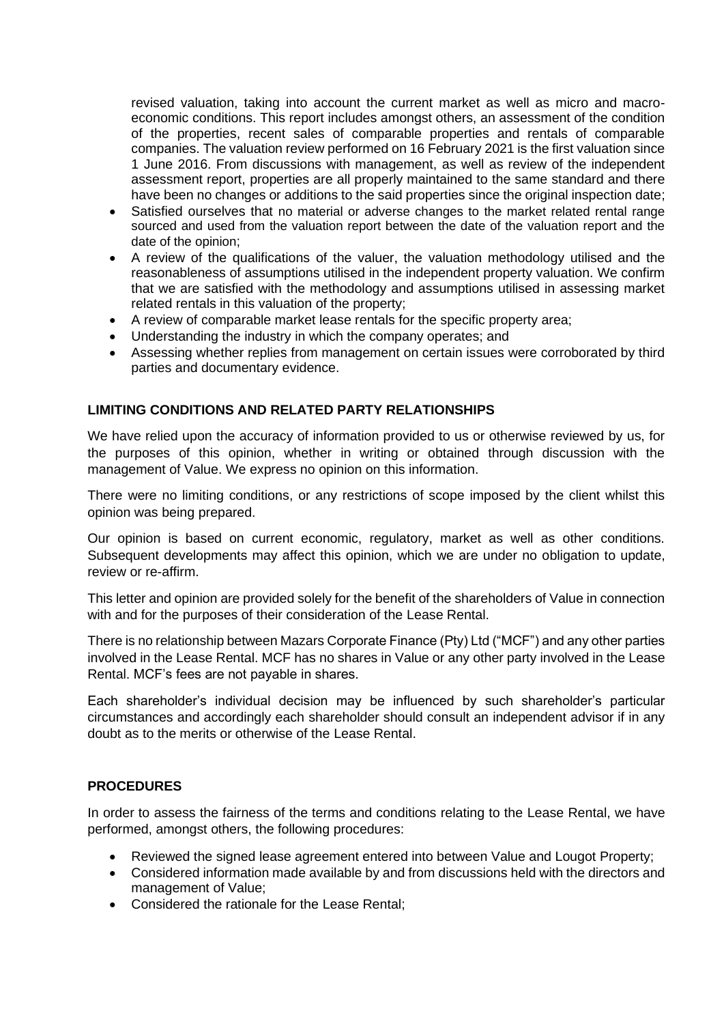revised valuation, taking into account the current market as well as micro and macroeconomic conditions. This report includes amongst others, an assessment of the condition of the properties, recent sales of comparable properties and rentals of comparable companies. The valuation review performed on 16 February 2021 is the first valuation since 1 June 2016. From discussions with management, as well as review of the independent assessment report, properties are all properly maintained to the same standard and there have been no changes or additions to the said properties since the original inspection date;

- Satisfied ourselves that no material or adverse changes to the market related rental range sourced and used from the valuation report between the date of the valuation report and the date of the opinion;
- A review of the qualifications of the valuer, the valuation methodology utilised and the reasonableness of assumptions utilised in the independent property valuation. We confirm that we are satisfied with the methodology and assumptions utilised in assessing market related rentals in this valuation of the property;
- A review of comparable market lease rentals for the specific property area;
- Understanding the industry in which the company operates; and
- Assessing whether replies from management on certain issues were corroborated by third parties and documentary evidence.

#### **LIMITING CONDITIONS AND RELATED PARTY RELATIONSHIPS**

We have relied upon the accuracy of information provided to us or otherwise reviewed by us, for the purposes of this opinion, whether in writing or obtained through discussion with the management of Value. We express no opinion on this information.

There were no limiting conditions, or any restrictions of scope imposed by the client whilst this opinion was being prepared.

Our opinion is based on current economic, regulatory, market as well as other conditions. Subsequent developments may affect this opinion, which we are under no obligation to update, review or re-affirm.

This letter and opinion are provided solely for the benefit of the shareholders of Value in connection with and for the purposes of their consideration of the Lease Rental.

There is no relationship between Mazars Corporate Finance (Pty) Ltd ("MCF") and any other parties involved in the Lease Rental. MCF has no shares in Value or any other party involved in the Lease Rental. MCF's fees are not payable in shares.

Each shareholder's individual decision may be influenced by such shareholder's particular circumstances and accordingly each shareholder should consult an independent advisor if in any doubt as to the merits or otherwise of the Lease Rental.

#### **PROCEDURES**

In order to assess the fairness of the terms and conditions relating to the Lease Rental, we have performed, amongst others, the following procedures:

- Reviewed the signed lease agreement entered into between Value and Lougot Property;
- Considered information made available by and from discussions held with the directors and management of Value;
- Considered the rationale for the Lease Rental;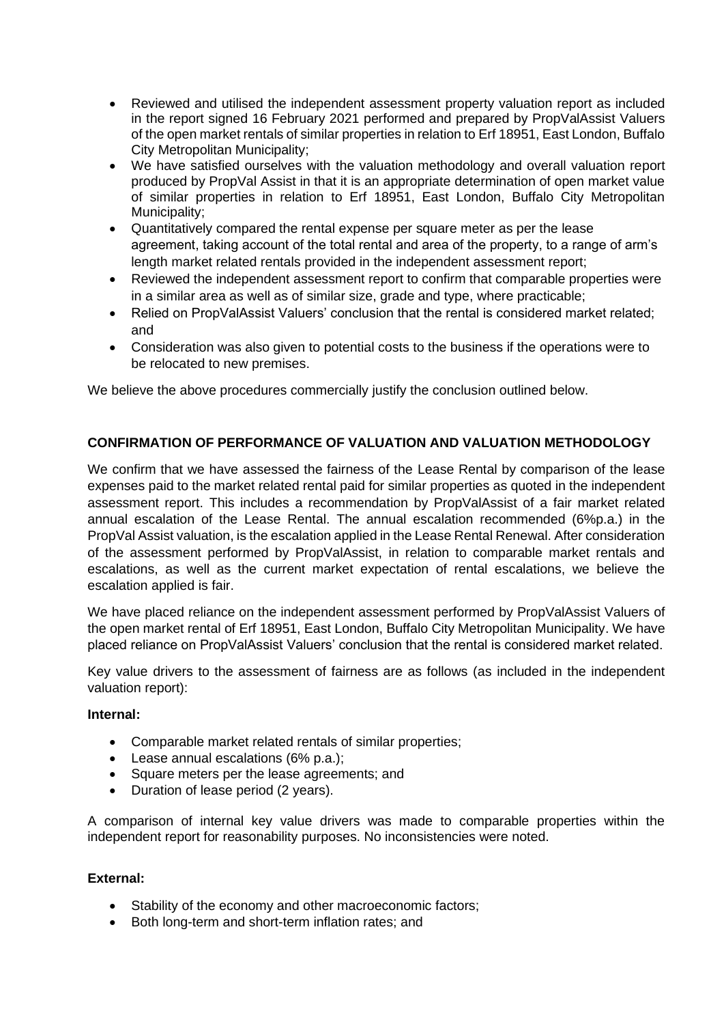- Reviewed and utilised the independent assessment property valuation report as included in the report signed 16 February 2021 performed and prepared by PropValAssist Valuers of the open market rentals of similar properties in relation to Erf 18951, East London, Buffalo City Metropolitan Municipality;
- We have satisfied ourselves with the valuation methodology and overall valuation report produced by PropVal Assist in that it is an appropriate determination of open market value of similar properties in relation to Erf 18951, East London, Buffalo City Metropolitan Municipality;
- Quantitatively compared the rental expense per square meter as per the lease agreement, taking account of the total rental and area of the property, to a range of arm's length market related rentals provided in the independent assessment report;
- Reviewed the independent assessment report to confirm that comparable properties were in a similar area as well as of similar size, grade and type, where practicable;
- Relied on PropValAssist Valuers' conclusion that the rental is considered market related; and
- Consideration was also given to potential costs to the business if the operations were to be relocated to new premises.

We believe the above procedures commercially justify the conclusion outlined below.

## **CONFIRMATION OF PERFORMANCE OF VALUATION AND VALUATION METHODOLOGY**

We confirm that we have assessed the fairness of the Lease Rental by comparison of the lease expenses paid to the market related rental paid for similar properties as quoted in the independent assessment report. This includes a recommendation by PropValAssist of a fair market related annual escalation of the Lease Rental. The annual escalation recommended (6%p.a.) in the PropVal Assist valuation, is the escalation applied in the Lease Rental Renewal. After consideration of the assessment performed by PropValAssist, in relation to comparable market rentals and escalations, as well as the current market expectation of rental escalations, we believe the escalation applied is fair.

We have placed reliance on the independent assessment performed by PropValAssist Valuers of the open market rental of Erf 18951, East London, Buffalo City Metropolitan Municipality. We have placed reliance on PropValAssist Valuers' conclusion that the rental is considered market related.

Key value drivers to the assessment of fairness are as follows (as included in the independent valuation report):

#### **Internal:**

- Comparable market related rentals of similar properties;
- Lease annual escalations (6% p.a.):
- Square meters per the lease agreements; and
- Duration of lease period (2 years).

A comparison of internal key value drivers was made to comparable properties within the independent report for reasonability purposes. No inconsistencies were noted.

#### **External:**

- Stability of the economy and other macroeconomic factors;
- Both long-term and short-term inflation rates; and